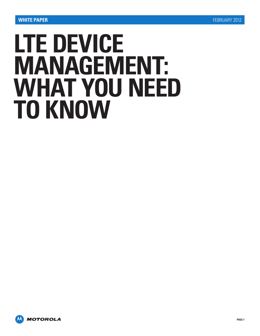# **LTE DEVICE MANAGEMENT: WHAT YOU NEED TO KNOW**

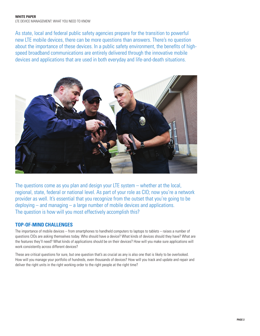### **WHITE PAPER** LTE DEVICE MANAGEMENT: WHAT YOU NEED TO KNOW

As state, local and federal public safety agencies prepare for the transition to powerful new LTE mobile devices, there can be more questions than answers. There's no question about the importance of these devices. In a public safety environment, the benefits of highspeed broadband communications are entirely delivered through the innovative mobile devices and applications that are used in both everyday and life-and-death situations.



The questions come as you plan and design your LTE system – whether at the local, regional, state, federal or national level. As part of your role as CIO; now you're a network provider as well. It's essential that you recognize from the outset that you're going to be deploying – and managing – a large number of mobile devices and applications. The question is how will you most effectively accomplish this?

# **TOP-OF-MIND CHALLENGES**

The importance of mobile devices – from smartphones to handheld computers to laptops to tablets – raises a number of questions CIOs are asking themselves today. Who should have a device? What kinds of devices should they have? What are the features they'll need? What kinds of applications should be on their devices? How will you make sure applications will work consistently across different devices?

These are critical questions for sure, but one question that's as crucial as any is also one that is likely to be overlooked. How will you manage your portfolio of hundreds, even thousands of devices? How will you track and update and repair and deliver the right units in the right working order to the right people at the right time?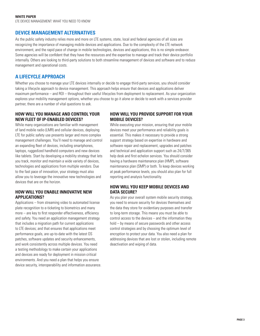LTE DEVICE MANAGEMENT: WHAT YOU NEED TO KNOW

## **DEVICE MANAGEMENT ALTERNATIVES**

As the public safety industry relies more and more on LTE systems, state, local and federal agencies of all sizes are recognizing the importance of managing mobile devices and applications. Due to the complexity of the LTE network environment, and the rapid pace of change in mobile technologies, devices and applications, this is no simple endeavor. Some agencies will be confident that they have the resources and the expertise to manage and track their device portfolio internally. Others are looking to third-party solutions to both streamline management of devices and software and to reduce management and operational costs.

# **A LIFECYCLE APPROACH**

Whether you choose to manage your LTE devices internally or decide to engage third-party services, you should consider taking a lifecycle approach to device management. This approach helps ensure that devices and applications deliver maximum performance – and ROI – throughout their useful lifecycles from deployment to replacement. As your organization explores your mobility management options, whether you choose to go it alone or decide to work with a services provider partner, there are a number of vital questions to ask.

### **HOW WILL YOU MANAGE AND CONTROL YOUR NEW FLEET OF IP-ENABLED DEVICES?**

While many organizations are familiar with management of land mobile radio (LMR) and cellular devices, deploying LTE for public safety use presents larger and more complex management challenges. You'll need to manage and control an expanding fleet of devices, including smartphones, laptops, ruggedized handheld computers and new devices like tablets. Start by developing a mobility strategy that lets you track, monitor and maintain a wide variety of devices, technologies and applications from multiple vendors. Due to the fast pace of innovation, your strategy must also allow you to leverage the innovative new technologies and devices that are on the horizon.

## **HOW WILL YOU ENABLE INNOVATIVE NEW APPLICATIONS?**

Applications – from streaming video to automated license plate recognition to e-ticketing to biometrics and many more – are key to first responder effectiveness, efficiency and safety. You need an application management strategy that includes a migration path for current applications to LTE devices; and that ensures that applications meet performance goals, are up-to-date with the latest OS patches, software updates and security enhancements, and work consistently across multiple devices. You need a testing methodology to make certain your applications and devices are ready for deployment in mission critical environments. And you need a plan that helps you ensure device security, interoperability and information assurance.

### **HOW WILL YOU PROVIDE SUPPORT FOR YOUR MOBILE DEVICES?**

While executing your mission, ensuring that your mobile devices meet your performance and reliability goals is essential. This makes it necessary to provide a strong support strategy based on expertise in hardware and software repair and replacement, upgrades and patches and technical and application support such as 24/7/365 help desk and first echelon services. You should consider having a hardware maintenance plan (HMP), software maintenance plan (SMP) or both. To keep devices working at peak performance levels, you should also plan for full reporting and analysis functionality.

### **HOW WILL YOU KEEP MOBILE DEVICES AND DATA SECURE?**

As you plan your overall system mobile security strategy, you need to ensure security for devices themselves and the data they store for evidentiary purposes and transfer to long-term storage. This means you must be able to control access to the devices – and the information they hold – by means of secure passwords and other access control strategies and by choosing the optimum level of encryption to protect your data. You also need a plan for addressing devices that are lost or stolen, including remote deactivation and wiping of data.